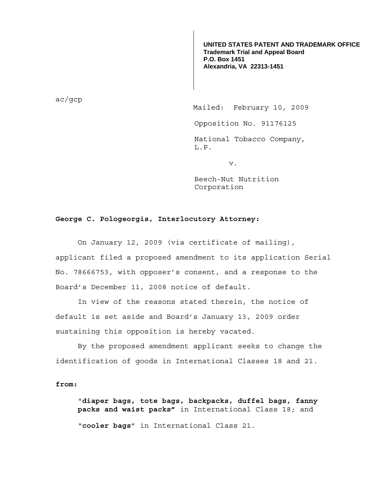**UNITED STATES PATENT AND TRADEMARK OFFICE Trademark Trial and Appeal Board P.O. Box 1451 Alexandria, VA 22313-1451**

ac/gcp

Mailed: February 10, 2009

Opposition No. 91176125

National Tobacco Company, L.P.

v.

Beech-Nut Nutrition Corporation

## **George C. Pologeorgis, Interlocutory Attorney:**

 On January 12, 2009 (via certificate of mailing), applicant filed a proposed amendment to its application Serial No. 78666753, with opposer's consent, and a response to the Board's December 11, 2008 notice of default.

 In view of the reasons stated therein, the notice of default is set aside and Board's January 13, 2009 order sustaining this opposition is hereby vacated.

 By the proposed amendment applicant seeks to change the identification of goods in International Classes 18 and 21.

## **from:**

"**diaper bags, tote bags, backpacks, duffel bags, fanny packs and waist packs"** in International Class 18; and "**cooler bags**" in International Class 21.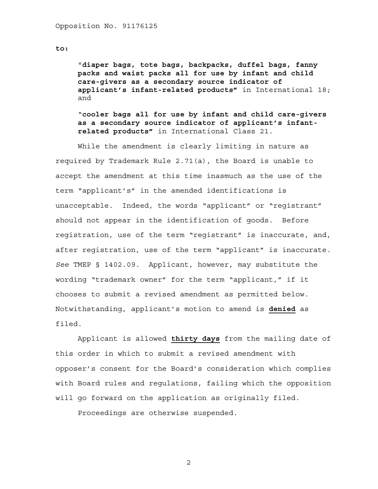**to:** 

"**diaper bags, tote bags, backpacks, duffel bags, fanny packs and waist packs all for use by infant and child care-givers as a secondary source indicator of applicant's infant-related products"** in International 18; and

"**cooler bags all for use by infant and child care-givers as a secondary source indicator of applicant's infantrelated products"** in International Class 21.

 While the amendment is clearly limiting in nature as required by Trademark Rule 2.71(a), the Board is unable to accept the amendment at this time inasmuch as the use of the term "applicant's" in the amended identifications is unacceptable. Indeed, the words "applicant" or "registrant" should not appear in the identification of goods. Before registration, use of the term "registrant" is inaccurate, and, after registration, use of the term "applicant" is inaccurate. *See* TMEP § 1402.09. Applicant, however, may substitute the wording "trademark owner" for the term "applicant," if it chooses to submit a revised amendment as permitted below. Notwithstanding, applicant's motion to amend is **denied** as filed.

Applicant is allowed **thirty days** from the mailing date of this order in which to submit a revised amendment with opposer's consent for the Board's consideration which complies with Board rules and regulations, failing which the opposition will go forward on the application as originally filed.

Proceedings are otherwise suspended.

2